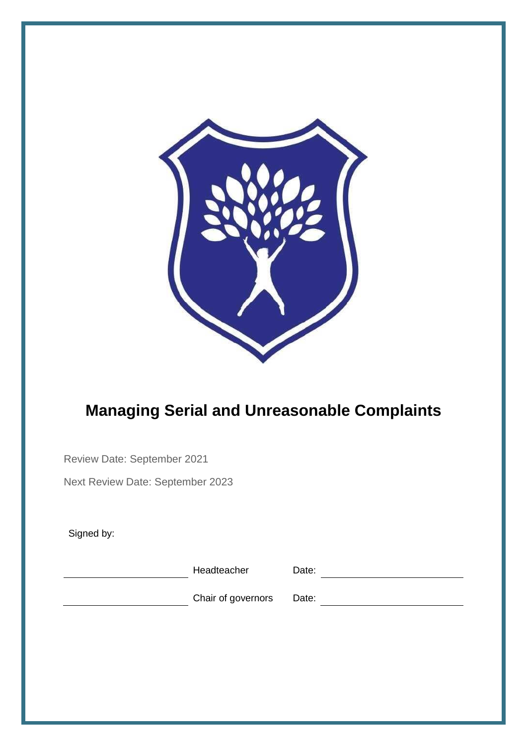

## **Managing Serial and Unreasonable Complaints**

Review Date: September 2021

Next Review Date: September 2023

Signed by:

Headteacher Date: Date: 2008

Chair of governors Date: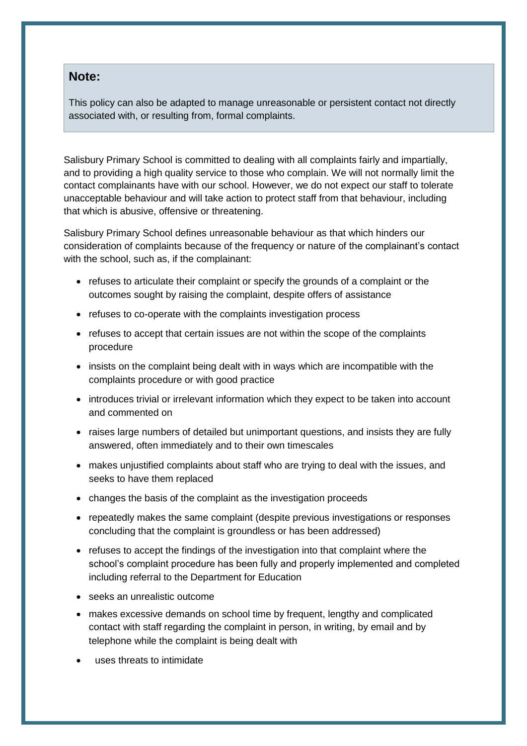## **Note:**

This policy can also be adapted to manage unreasonable or persistent contact not directly associated with, or resulting from, formal complaints.

Salisbury Primary School is committed to dealing with all complaints fairly and impartially, and to providing a high quality service to those who complain. We will not normally limit the contact complainants have with our school. However, we do not expect our staff to tolerate unacceptable behaviour and will take action to protect staff from that behaviour, including that which is abusive, offensive or threatening.

Salisbury Primary School defines unreasonable behaviour as that which hinders our consideration of complaints because of the frequency or nature of the complainant's contact with the school, such as, if the complainant:

- refuses to articulate their complaint or specify the grounds of a complaint or the outcomes sought by raising the complaint, despite offers of assistance
- refuses to co-operate with the complaints investigation process
- refuses to accept that certain issues are not within the scope of the complaints procedure
- insists on the complaint being dealt with in ways which are incompatible with the complaints procedure or with good practice
- introduces trivial or irrelevant information which they expect to be taken into account and commented on
- raises large numbers of detailed but unimportant questions, and insists they are fully answered, often immediately and to their own timescales
- makes unjustified complaints about staff who are trying to deal with the issues, and seeks to have them replaced
- changes the basis of the complaint as the investigation proceeds
- repeatedly makes the same complaint (despite previous investigations or responses concluding that the complaint is groundless or has been addressed)
- refuses to accept the findings of the investigation into that complaint where the school's complaint procedure has been fully and properly implemented and completed including referral to the Department for Education
- seeks an unrealistic outcome
- makes excessive demands on school time by frequent, lengthy and complicated contact with staff regarding the complaint in person, in writing, by email and by telephone while the complaint is being dealt with
- uses threats to intimidate